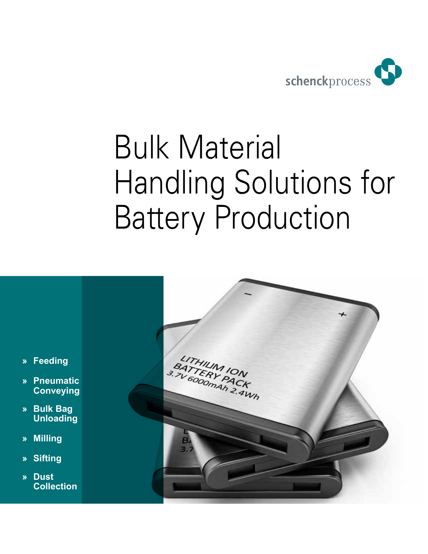

# Bulk Material Handling Solutions for Battery Production

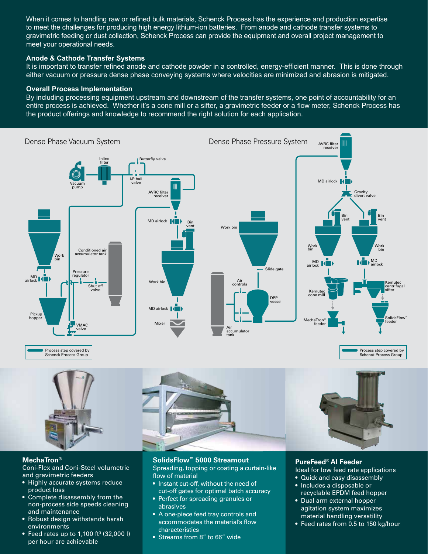When it comes to handling raw or refined bulk materials, Schenck Process has the experience and production expertise to meet the challenges for producing high energy lithium-ion batteries. From anode and cathode transfer systems to gravimetric feeding or dust collection, Schenck Process can provide the equipment and overall project management to meet your operational needs.

### **Anode & Cathode Transfer Systems**

It is important to transfer refined anode and cathode powder in a controlled, energy-efficient manner. This is done through either vacuum or pressure dense phase conveying systems where velocities are minimized and abrasion is mitigated.

#### **Overall Process Implementation**

By including processing equipment upstream and downstream of the transfer systems, one point of accountability for an entire process is achieved. Whether it's a cone mill or a sifter, a gravimetric feeder or a flow meter, Schenck Process has the product offerings and knowledge to recommend the right solution for each application.





## **MechaTron®**

Coni-Flex and Coni-Steel volumetric and gravimetric feeders

- Highly accurate systems reduce product loss
- Complete disassembly from the non-process side speeds cleaning and maintenance
- Robust design withstands harsh environments
- Feed rates up to 1,100 ft<sup>3</sup> (32,000 l) per hour are achievable

# **SolidsFlow™ 5000 Streamout**

Spreading, topping or coating a curtain-like flow of material

- Instant cut-off, without the need of cut-off gates for optimal batch accuracy
- Perfect for spreading granules or abrasives
- A one-piece feed tray controls and accommodates the material's flow characteristics
- Streams from 8" to 66" wide

## **PureFeed® AI Feeder**

- Ideal for low feed rate applications
- Quick and easy disassembly
- Includes a disposable or recyclable EPDM feed hopper
- Dual arm external hopper agitation system maximizes material handling versatility
- Feed rates from 0.5 to 150 kg/hour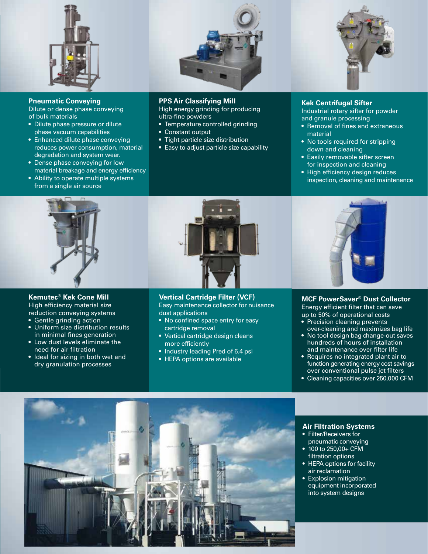

**Pneumatic Conveying** Dilute or dense phase conveying of bulk materials

- Dilute phase pressure or dilute phase vacuum capabilities
- Enhanced dilute phase conveying reduces power consumption, material degradation and system wear.
- Dense phase conveying for low material breakage and energy efficiency
- Ability to operate multiple systems from a single air source



#### **Kemutec® Kek Cone Mill**

High efficiency material size reduction conveying systems

- Gentle grinding action
- Uniform size distribution results in minimal fines generation
- Low dust levels eliminate the need for air filtration
- Ideal for sizing in both wet and dry granulation processes



### **PPS Air Classifying Mill**

High energy grinding for producing ultra-fine powders

- Temperature controlled grinding
- Constant output
- Tight particle size distribution
- Easy to adjust particle size capability



#### **Kek Centrifugal Sifter**

Industrial rotary sifter for powder and granule processing

- Removal of fines and extraneous material
- No tools required for stripping down and cleaning
- Easily removable sifter screen for inspection and cleaning
- High efficiency design reduces inspection, cleaning and maintenance



**Vertical Cartridge Filter (VCF)**  Easy maintenance collector for nuisance dust applications

- No confined space entry for easy cartridge removal
- Vertical cartridge design cleans more efficiently
- Industry leading Pred of 6.4 psi
- HEPA options are available



**MCF PowerSaver® Dust Collector** Energy efficient filter that can save up to 50% of operational costs • Precision cleaning prevents

- over-cleaning and maximizes bag life • No tool design bag change-out saves hundreds of hours of installation and maintenance over filter life
- Requires no integrated plant air to function generating energy cost savings over conventional pulse jet filters
- Cleaning capacities over 250,000 CFM



**Air Filtration Systems**

- Filter/Receivers for pneumatic conveying
- 100 to 250,00+ CFM filtration options
- HEPA options for facility air reclamation
- Explosion mitigation equipment incorporated into system designs